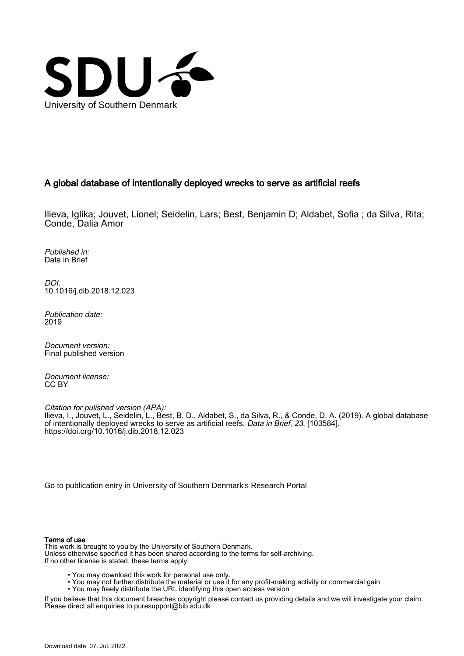

# A global database of intentionally deployed wrecks to serve as artificial reefs

Ilieva, Iglika; Jouvet, Lionel; Seidelin, Lars; Best, Benjamin D; Aldabet, Sofia ; da Silva, Rita; Conde, Dalia Amor

Published in: Data in Brief

DOI: [10.1016/j.dib.2018.12.023](https://doi.org/10.1016/j.dib.2018.12.023)

Publication date: 2019

Document version: Final published version

Document license: CC BY

Citation for pulished version (APA): Ilieva, I., Jouvet, L., Seidelin, L., Best, B. D., Aldabet, S., da Silva, R., & Conde, D. A. (2019). A global database of intentionally deployed wrecks to serve as artificial reefs. Data in Brief, 23, [103584]. <https://doi.org/10.1016/j.dib.2018.12.023>

[Go to publication entry in University of Southern Denmark's Research Portal](https://portal.findresearcher.sdu.dk/en/publications/a85fe987-f772-48ae-bc27-31cb789c81d2)

# Terms of use

This work is brought to you by the University of Southern Denmark. Unless otherwise specified it has been shared according to the terms for self-archiving. If no other license is stated, these terms apply:

- You may download this work for personal use only.
- You may not further distribute the material or use it for any profit-making activity or commercial gain
- You may freely distribute the URL identifying this open access version

If you believe that this document breaches copyright please contact us providing details and we will investigate your claim. Please direct all enquiries to puresupport@bib.sdu.dk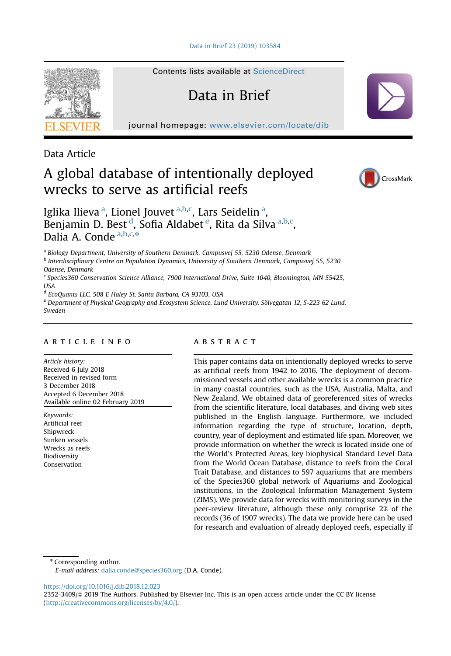[Data in Brief 23 \(2019\) 103584](https://doi.org/10.1016/j.dib.2018.12.023)



Contents lists available at [ScienceDirect](www.sciencedirect.com/science/journal/23523409)

# Data in Brief

journal homepage: <www.elsevier.com/locate/dib>

Data Article

# A global database of intentionally deployed wrecks to serve as artificial reefs



Iglika Ilieva<sup>a</sup>, Lionel Jouvet<sup>a, b, c</sup>, Lars Seidelin<sup>a</sup>, Benjamin D. Best <sup>d</sup>, Sofia Aldabet <sup>e</sup>, Rita da Silva <sup>a, b, c</sup>, Dalia A. Conde  $a,b,c,*$ 

<sup>a</sup> Biology Department, University of Southern Denmark, Campusvej 55, 5230 Odense, Denmark

<sup>b</sup> Interdisciplinary Centre on Population Dynamics, University of Southern Denmark, Campusvej 55, 5230 Odense, Denmark

<sup>c</sup> Species360 Conservation Science Alliance, 7900 International Drive, Suite 1040, Bloomington, MN 55425, USA

<sup>d</sup> EcoQuants LLC, 508 E Haley St, Santa Barbara, CA 93103, USA

<sup>e</sup> Department of Physical Geography and Ecosystem Science, Lund University, Sölvegatan 12, S-223 62 Lund, Sweden

## article info

Article history: Received 6 July 2018 Received in revised form 3 December 2018 Accepted 6 December 2018 Available online 02 February 2019

Keywords: Artificial reef Shipwreck Sunken vessels Wrecks as reefs Biodiversity Conservation

## abstract

This paper contains data on intentionally deployed wrecks to serve as artificial reefs from 1942 to 2016. The deployment of decommissioned vessels and other available wrecks is a common practice in many coastal countries, such as the USA, Australia, Malta, and New Zealand. We obtained data of georeferenced sites of wrecks from the scientific literature, local databases, and diving web sites published in the English language. Furthermore, we included information regarding the type of structure, location, depth, country, year of deployment and estimated life span. Moreover, we provide information on whether the wreck is located inside one of the World's Protected Areas, key biophysical Standard Level Data from the World Ocean Database, distance to reefs from the Coral Trait Database, and distances to 597 aquariums that are members of the Species360 global network of Aquariums and Zoological institutions, in the Zoological Information Management System (ZIMS). We provide data for wrecks with monitoring surveys in the peer-review literature, although these only comprise 2% of the records (36 of 1907 wrecks). The data we provide here can be used for research and evaluation of already deployed reefs, especially if

\* Corresponding author.

E-mail address: [dalia.conde@species360.org](mailto:dalia.conde@species360.org) (D.A. Conde).

<https://doi.org/10.1016/j.dib.2018.12.023>

<sup>2352-3409/</sup>& 2019 The Authors. Published by Elsevier Inc. This is an open access article under the CC BY license (http://creativecommons.org/licenses/by/4.0/).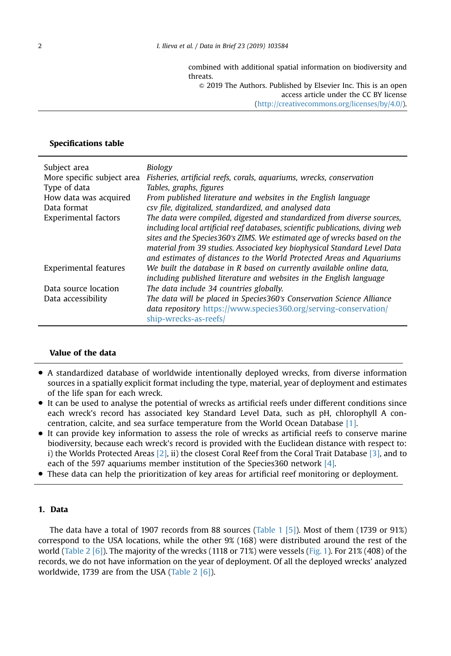combined with additional spatial information on biodiversity and threats.

 $\odot$  2019 The Authors. Published by Elsevier Inc. This is an open access article under the CC BY license

(http://creativecommons.org/licenses/by/4.0/).

# Specifications table

| Subject area               | Biology                                                                        |
|----------------------------|--------------------------------------------------------------------------------|
| More specific subject area | Fisheries, artificial reefs, corals, aquariums, wrecks, conservation           |
| Type of data               | Tables, graphs, figures                                                        |
| How data was acquired      | From published literature and websites in the English language                 |
| Data format                | csy file, digitalized, standardized, and analysed data                         |
| Experimental factors       | The data were compiled, digested and standardized from diverse sources,        |
|                            | including local artificial reef databases, scientific publications, diving web |
|                            | sites and the Species360's ZIMS. We estimated age of wrecks based on the       |
|                            | material from 39 studies. Associated key biophysical Standard Level Data       |
|                            | and estimates of distances to the World Protected Areas and Aquariums          |
| Experimental features      | We built the database in R based on currently available online data,           |
|                            | including published literature and websites in the English language            |
| Data source location       | The data include 34 countries globally.                                        |
| Data accessibility         | The data will be placed in Species360's Conservation Science Alliance          |
|                            | <i>data repository https://www.species360.org/serving-conservation/</i>        |
|                            | ship-wrecks-as-reefs/                                                          |

# Value of the data

- A standardized database of worldwide intentionally deployed wrecks, from diverse information sources in a spatially explicit format including the type, material, year of deployment and estimates of the life span for each wreck.
- It can be used to analyse the potential of wrecks as artificial reefs under different conditions since each wreck's record has associated key Standard Level Data, such as pH, chlorophyll A concentration, calcite, and sea surface temperature from the World Ocean Database [\[1\].](#page-13-0)
- It can provide key information to assess the role of wrecks as artificial reefs to conserve marine biodiversity, because each wreck's record is provided with the Euclidean distance with respect to: i) the Worlds Protected Areas  $[2]$ , ii) the closest Coral Reef from the Coral Trait Database  $[3]$ , and to each of the 597 aquariums member institution of the Species360 network [\[4\]](#page-13-0).
- These data can help the prioritization of key areas for artificial reef monitoring or deployment.

## 1. Data

The data have a total of 1907 records from 88 sources [\(Table 1](#page-3-0) [\[5\]](#page-13-0)). Most of them (1739 or 91%) correspond to the USA locations, while the other 9% (168) were distributed around the rest of the world [\(Table 2](#page-5-0) [\[6\]\)](#page-13-0). The majority of the wrecks (1118 or 71%) were vessels ([Fig. 1](#page-6-0)). For 21% (408) of the records, we do not have information on the year of deployment. Of all the deployed wrecks' analyzed worldwide, 1739 are from the USA ([Table 2](#page-5-0) [\[6\]\)](#page-13-0).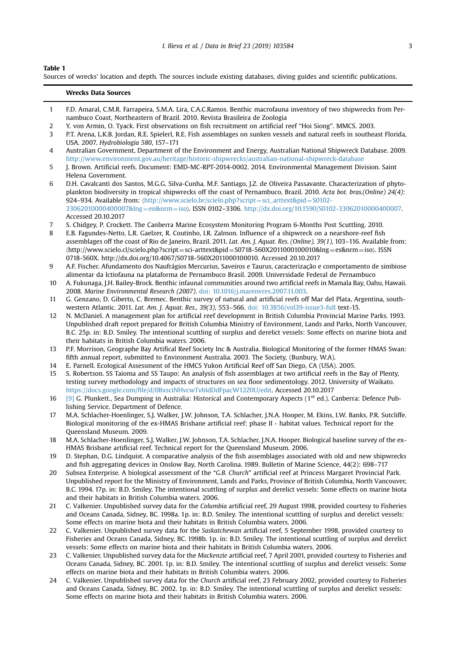#### <span id="page-3-0"></span>Table 1

Sources of wrecks' location and depth. The sources include existing databases, diving guides and scientific publications.

|              | <b>Wrecks Data Sources</b>                                                                                                                                                                                                                                                                                                                    |
|--------------|-----------------------------------------------------------------------------------------------------------------------------------------------------------------------------------------------------------------------------------------------------------------------------------------------------------------------------------------------|
| $\mathbf{1}$ | F.D. Amaral, C.M.R. Farrapeira, S.M.A. Lira, C.A.C.Ramos. Benthic macrofauna inventory of two shipwrecks from Per-                                                                                                                                                                                                                            |
|              | nambuco Coast, Northeastern of Brazil. 2010. Revista Brasileira de Zoologia                                                                                                                                                                                                                                                                   |
| 2            | Y. von Armin, O. Tyack. First observations on fish recruitment on artificial reef "Hoi Siong". MMCS. 2003.                                                                                                                                                                                                                                    |
| 3            | P.T. Arena, L.K.B. Jordan, R.E. Spielerl, R.E. Fish assemblages on sunken vessels and natural reefs in southeast Florida,<br>USA, 2007. Hydrobiologia 580, 157-171                                                                                                                                                                            |
| 4            | Australian Government, Department of the Environment and Energy, Australian National Shipwreck Database, 2009.<br>http://www.environment.gov.au/heritage/historic-shipwrecks/australian-national-shipwreck-database                                                                                                                           |
| 5            | J. Brown. Artificial reefs. Document: EMD-MC-RPT-2014-0002. 2014. Environmental Management Division. Saint                                                                                                                                                                                                                                    |
|              | Helena Government.                                                                                                                                                                                                                                                                                                                            |
| 6            | D.H. Cavalcanti dos Santos, M.G.G. Silva-Cunha, M.F. Santiago, J.Z. de Oliveira Passavante. Characterization of phyto-                                                                                                                                                                                                                        |
|              | plankton biodiversity in tropical shipwrecks off the coast of Pernambuco, Brazil. 2010. Acta bot. bras. (Online) 24(4):<br>924–934. Available from: (http://www.scielo.br/scielo.php?script=sci_arttext&pid=S0102-                                                                                                                            |
|              | 33062010000400007&lng=en&nrm=iso). ISSN 0102-3306. http://dx.doi.org/10.1590/S0102-33062010000400007.<br>Accessed 20.10.2017                                                                                                                                                                                                                  |
| 7            | S. Chidgey, P. Crockett. The Canberra Marine Ecosystem Monitoring Program 6-Months Post Scuttling. 2010.                                                                                                                                                                                                                                      |
| 8            | E.B. Fagundes-Netto, L.R. Gaelzer, R. Coutinho, I.R. Zalmon. Influence of a shipwreck on a nearshore-reef fish                                                                                                                                                                                                                                |
|              | assemblages off the coast of Rio de Janeiro, Brazil. 2011. Lat. Am. J. Aquat. Res. (Online), 39(1), 103-116. Available from:<br>$\langle$ http://www.scielo.cl/scielo.php?script=sci-arttext&pid=S0718-560X2011000100010&lng=es&nrm=iso $\rangle$ . ISSN<br>0718-560X. http://dx.doi.org/10.4067/S0718-560X2011000100010. Accessed 20.10.2017 |
| 9            | A.F. Fischer. Afundamento dos Naufrágios Mercurius, Saveiros e Taurus, caracterização e comportamento de simbiose                                                                                                                                                                                                                             |
|              | alimentar da Ictiofauna na plataforma de Pernambuco Brasil, 2009. Universidade Federal de Pernambuco                                                                                                                                                                                                                                          |
| 10           | A. Fukunaga, J.H. Bailey-Brock. Benthic infaunal communities around two artificial reefs in Mamala Bay, Oahu, Hawaii.<br>2008. Marine Environmental Research (2007). doi: 10.1016/j.marenvres.2007.11.003.                                                                                                                                    |
| 11           | G. Genzano, D. Giberto, C. Bremec. Benthic survey of natural and artificial reefs off Mar del Plata, Argentina, south-                                                                                                                                                                                                                        |
|              | western Atlantic, 2011, Lat. Am. J. Aquat. Res., 39(3), 553-566, doi: 10.3856/vol39-issue3-full text-15.                                                                                                                                                                                                                                      |
| 12           | N. McDaniel. A management plan for artificial reef development in British Columbia Provincial Marine Parks. 1993.                                                                                                                                                                                                                             |
|              | Unpublished draft report prepared for British Columbia Ministry of Environment, Lands and Parks, North Vancouver,                                                                                                                                                                                                                             |
|              | B.C. 25p. in: B.D. Smiley. The intentional scuttling of surplus and derelict vessels: Some effects on marine biota and                                                                                                                                                                                                                        |
|              | their habitats in British Columbia waters. 2006.                                                                                                                                                                                                                                                                                              |
| 13           | P.F. Morrison, Geographe Bay Artifical Reef Society Inc & Australia. Biological Monitoring of the former HMAS Swan:                                                                                                                                                                                                                           |
|              | fifth annual report, submitted to Environment Australia. 2003. The Society, (Bunbury, W.A).                                                                                                                                                                                                                                                   |
| 14           | E. Parnell. Ecological Assessment of the HMCS Yukon Artificial Reef off San Diego, CA (USA). 2005.                                                                                                                                                                                                                                            |
| 15           | S. Robertson, SS Taioma and SS Taupo: An analysis of fish assemblages at two artificial reefs in the Bay of Plenty,<br>testing survey methodology and impacts of structures on sea floor sedimentology. 2012. University of Waikato.<br>https://docs.google.com/file/d/0BxsciNHvcwTvbldDdFpacW12Z0U/edit. Accessed 20.10.2017                 |
| 16           | [9] G. Plunkett., Sea Dumping in Australia: Historical and Contemporary Aspects (1 <sup>st</sup> ed.). Canberra: Defence Pub-                                                                                                                                                                                                                 |
|              | lishing Service, Department of Defence.                                                                                                                                                                                                                                                                                                       |
| 17           | M.A. Schlacher-Hoenlinger, S.J. Walker, J.W. Johnson, T.A. Schlacher, J.N.A. Hooper, M. Ekins, I.W. Banks, P.R. Sutcliffe.<br>Biological monitoring of the ex-HMAS Brisbane artificial reef: phase II - habitat values. Technical report for the                                                                                              |
|              | Queensland Museum. 2009.                                                                                                                                                                                                                                                                                                                      |
| 18           | M.A. Schlacher-Hoenlinger, S.J. Walker, J.W. Johnson, T.A. Schlacher, J.N.A. Hooper. Biological baseline survey of the ex-                                                                                                                                                                                                                    |
|              | HMAS Brisbane artificial reef. Technical report for the Queensland Museum. 2006.                                                                                                                                                                                                                                                              |
| 19           | D. Stephan, D.G. Lindquist. A comparative analysis of the fish assemblages associated with old and new shipwrecks                                                                                                                                                                                                                             |
|              | and fish aggregating devices in Onslow Bay, North Carolina. 1989. Bulletin of Marine Science, 44(2): 698-717                                                                                                                                                                                                                                  |
| 20           | Subsea Enterprise. A biological assessment of the "G.B. Church" artificial reef at Princess Margaret Provincial Park.                                                                                                                                                                                                                         |
|              | Unpublished report for the Ministry of Environment, Lands and Parks, Province of British Columbia, North Vancouver,                                                                                                                                                                                                                           |
|              | B.C. 1994. 17p. in: B.D. Smiley. The intentional scuttling of surplus and derelict vessels: Some effects on marine biota                                                                                                                                                                                                                      |
|              | and their habitats in British Columbia waters. 2006.                                                                                                                                                                                                                                                                                          |
| 21           | C. Valkenier. Unpublished survey data for the Columbia artificial reef, 29 August 1998, provided courtesy to Fisheries                                                                                                                                                                                                                        |
|              | and Oceans Canada, Sidney, BC. 1998a. 1p. in: B.D. Smiley. The intentional scuttling of surplus and derelict vessels:                                                                                                                                                                                                                         |
|              | Some effects on marine biota and their habitats in British Columbia waters. 2006.                                                                                                                                                                                                                                                             |
| 22           | C. Valkenier, Unpublished survey data for the Saskatchewan artificial reef, 5 September 1998, provided courtesy to                                                                                                                                                                                                                            |
|              | Fisheries and Oceans Canada, Sidney, BC. 1998b. 1p. in: B.D. Smiley. The intentional scuttling of surplus and derelict                                                                                                                                                                                                                        |
|              | vessels: Some effects on marine biota and their habitats in British Columbia waters. 2006.                                                                                                                                                                                                                                                    |
| 23           | C. Valkenier. Unpublished survey data for the Mackenzie artificial reef, 7 April 2001, provided courtesy to Fisheries and<br>Oceans Canada, Sidney, BC. 2001. 1p. in: B.D. Smiley. The intentional scuttling of surplus and derelict vessels: Some                                                                                            |

effects on marine biota and their habitats in British Columbia waters. 2006. 24 C. Valkenier. Unpublished survey data for the Church artificial reef, 23 February 2002, provided courtesy to Fisheries and Oceans Canada, Sidney, BC. 2002. 1p. in: B.D. Smiley. The intentional scuttling of surplus and derelict vessels: Some effects on marine biota and their habitats in British Columbia waters. 2006.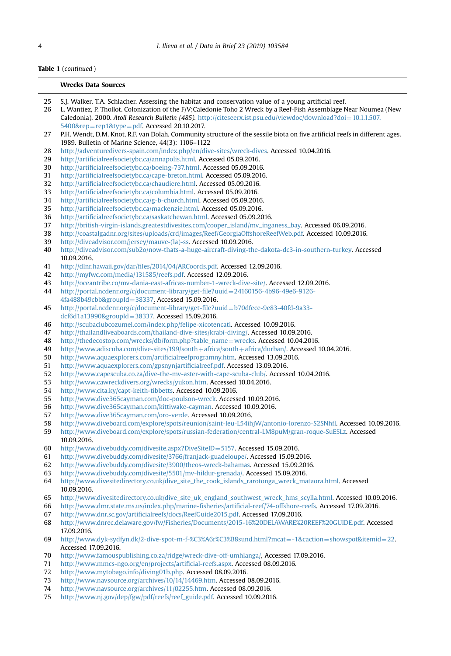# Table 1 (continued )

|          | <b>Wrecks Data Sources</b>                                                                                                                                                                                                                                                                                                                   |
|----------|----------------------------------------------------------------------------------------------------------------------------------------------------------------------------------------------------------------------------------------------------------------------------------------------------------------------------------------------|
| 25<br>26 | S.J. Walker, T.A. Schlacher. Assessing the habitat and conservation value of a young artificial reef.<br>L. Wantiez, P. Thollot. Colonization of the F/V;Caledonie Toho 2 Wreck by a Reef-Fish Assemblage Near Noumea (New<br>Caledonia). 2000. Atoll Research Bulletin (485). http://citeseerx.ist.psu.edu/viewdoc/download?doi=10.1.1.507. |
| 27       | $5400$ &rep=rep1&type=pdf. Accessed 20.10.2017.<br>P.H. Wendt, D.M. Knot, R.F. van Dolah. Community structure of the sessile biota on five artificial reefs in different ages.<br>1989. Bulletin of Marine Science, 44(3): 1106-1122                                                                                                         |
| 28       | http://adventuredivers-spain.com/index.php/en/dive-sites/wreck-dives. Accessed 10.04.2016.                                                                                                                                                                                                                                                   |
| 29       | http://artificialreefsocietybc.ca/annapolis.html. Accessed 05.09.2016.                                                                                                                                                                                                                                                                       |
| 30       | http://artificialreefsocietybc.ca/boeing-737.html. Accessed 05.09.2016.                                                                                                                                                                                                                                                                      |
| 31       | http://artificialreefsocietybc.ca/cape-breton.html. Accessed 05.09.2016.                                                                                                                                                                                                                                                                     |
| 32       | http://artificialreefsocietybc.ca/chaudiere.html. Accessed 05.09.2016.                                                                                                                                                                                                                                                                       |
| 33       | http://artificialreefsocietybc.ca/columbia.html. Accessed 05.09.2016.                                                                                                                                                                                                                                                                        |
| 34       | http://artificialreefsocietybc.ca/g-b-church.html. Accessed 05.09.2016.                                                                                                                                                                                                                                                                      |
| 35       | http://artificialreefsocietybc.ca/mackenzie.html. Accessed 05.09.2016.                                                                                                                                                                                                                                                                       |
| 36       | http://artificialreefsocietybc.ca/saskatchewan.html. Accessed 05.09.2016.                                                                                                                                                                                                                                                                    |
| 37       | http://british-virgin-islands.greatestdivesites.com/cooper_island/mv_inganess_bay. Accessed 06.09.2016.                                                                                                                                                                                                                                      |
| 38       | http://coastalgadnr.org/sites/uploads/crd/images/Reef/GeorgiaOffshoreReefWeb.pdf. Accessed 10.09.2016.                                                                                                                                                                                                                                       |
| 39       | http://diveadvisor.com/jersey/mauve-(la)-ss. Accessed 10.09.2016.                                                                                                                                                                                                                                                                            |
| 40       | http://diveadvisor.com/sub2o/now-thats-a-huge-aircraft-diving-the-dakota-dc3-in-southern-turkey. Accessed                                                                                                                                                                                                                                    |
|          | 10.09.2016.                                                                                                                                                                                                                                                                                                                                  |
| 41       | http://dlnr.hawaii.gov/dar/files/2014/04/ARCoords.pdf. Accessed 12.09.2016.                                                                                                                                                                                                                                                                  |
| 42       | http://myfwc.com/media/131585/reefs.pdf. Accessed 12.09.2016.                                                                                                                                                                                                                                                                                |
| 43       | http://oceantribe.co/mv-dania-east-africas-number-1-wreck-dive-site/. Accessed 12.09.2016.                                                                                                                                                                                                                                                   |
| 44       | http://portal.ncdenr.org/c/document-library/get-file?uuid=24160156-4b96-49e6-9126-                                                                                                                                                                                                                                                           |
|          | 4fa488b49cbb&groupId=38337. Accessed 15.09.2016.                                                                                                                                                                                                                                                                                             |
| 45       | http://portal.ncdenr.org/c/document-library/get-file?uuid=b70dfece-9e83-40fd-9a33-                                                                                                                                                                                                                                                           |
|          | dcf6d1a13990&groupId=38337. Accessed 15.09.2016.                                                                                                                                                                                                                                                                                             |
| 46       | http://scubaclubcozumel.com/index.php/felipe-xicotencatl. Accessed 10.09.2016.                                                                                                                                                                                                                                                               |
| 47<br>48 | http://thailandliveaboards.com/thailand-dive-sites/krabi-diving/. Accessed 10.09.2016.<br>http://thedecostop.com/wrecks/db/form.php?table_name=wrecks. Accessed 10.04.2016.                                                                                                                                                                  |
| 49       | http://www.adiscuba.com/dive-sites/199/south+africa/south+africa/durban/. Accessed 10.04.2016.                                                                                                                                                                                                                                               |
| 50       | http://www.aquaexplorers.com/artificialreefprogramny.htm. Accessed 13.09.2016.                                                                                                                                                                                                                                                               |
| 51       | http://www.aquaexplorers.com/gpsnynjartificialreef.pdf. Accessed 13.09.2016.                                                                                                                                                                                                                                                                 |
| 52       | http://www.capescuba.co.za/dive-the-mv-aster-with-cape-scuba-club/. Accessed 10.04.2016.                                                                                                                                                                                                                                                     |
| 53       | http://www.cawreckdivers.org/wrecks/yukon.htm. Accessed 10.04.2016.                                                                                                                                                                                                                                                                          |
| 54       | http://www.cita.ky/capt-keith-tibbetts. Accessed 10.09.2016.                                                                                                                                                                                                                                                                                 |
| 55       | http://www.dive365cayman.com/doc-poulson-wreck. Accessed 10.09.2016.                                                                                                                                                                                                                                                                         |
| 56       | http://www.dive365cayman.com/kittiwake-cayman. Accessed 10.09.2016.                                                                                                                                                                                                                                                                          |
| 57       | http://www.dive365cayman.com/oro-verde. Accessed 10.09.2016.                                                                                                                                                                                                                                                                                 |
| 58       | http://www.diveboard.com/explore/spots/reunion/saint-leu-L54ihjW/antonio-lorenzo-S2SNhfl. Accessed 10.09.2016.                                                                                                                                                                                                                               |
| 59       | http://www.diveboard.com/explore/spots/russian-federation/central-LM8puM/gran-roque-SuESLz. Accessed                                                                                                                                                                                                                                         |
|          | 10.09.2016.                                                                                                                                                                                                                                                                                                                                  |
| 60       | http://www.divebuddy.com/divesite.aspx?DiveSiteID=5157. Accessed 15.09.2016.                                                                                                                                                                                                                                                                 |
| 61       | http://www.divebuddy.com/divesite/3766/franjack-guadeloupe/. Accessed 15.09.2016.                                                                                                                                                                                                                                                            |
| 62       | http://www.divebuddy.com/divesite/3900/theos-wreck-bahamas. Accessed 15.09.2016.                                                                                                                                                                                                                                                             |
| 63       | http://www.divebuddy.com/divesite/5501/mv-hildur-grenada/. Accessed 15.09.2016.                                                                                                                                                                                                                                                              |
| 64       | http://www.divesitedirectory.co.uk/dive_site_the_cook_islands_rarotonga_wreck_mataora.html. Accessed                                                                                                                                                                                                                                         |
|          | 10.09.2016.                                                                                                                                                                                                                                                                                                                                  |
| 65       | http://www.divesitedirectory.co.uk/dive_site_uk_england_southwest_wreck_hms_scylla.html. Accessed 10.09.2016.                                                                                                                                                                                                                                |
| 66       | http://www.dmr.state.ms.us/index.php/marine-fisheries/artificial-reef/74-offshore-reefs. Accessed 17.09.2016.                                                                                                                                                                                                                                |
| 67       | http://www.dnr.sc.gov/artificialreefs/docs/ReefGuide2015.pdf. Accessed 17.09.2016.                                                                                                                                                                                                                                                           |
| 68       | http://www.dnrec.delaware.gov/fw/Fisheries/Documents/2015-16%20DELAWARE%20REEF%20GUIDE.pdf. Accessed                                                                                                                                                                                                                                         |
|          | 17.09.2016.<br>http://www.dyk-sydfyn.dk/2-dive-spot-m-f-%C3%A6r%C3%B8sund.html?mcat=-1&caction=showspot&itemid=22.                                                                                                                                                                                                                           |
| 69       | Accessed 17.09.2016.                                                                                                                                                                                                                                                                                                                         |
| 70       | http://www.famouspublishing.co.za/ridge/wreck-dive-off-umhlanga/, Accessed 17.09.2016.                                                                                                                                                                                                                                                       |
| 71       | http://www.mmcs-ngo.org/en/projects/artificial-reefs.aspx. Accessed 08.09.2016.                                                                                                                                                                                                                                                              |
| 72       | http://www.mytobago.info/diving01b.php. Accessed 08.09.2016.                                                                                                                                                                                                                                                                                 |
| 73       | http://www.naysource.org/archives/10/14/14469.htm. Accessed 08.09.2016.                                                                                                                                                                                                                                                                      |
| 74       | http://www.navsource.org/archives/11/02255.htm. Accessed 08.09.2016.                                                                                                                                                                                                                                                                         |

[http://www.nj.gov/dep/fgw/pdf/reefs/reef\\_guide.pdf](http://www.nj.gov/dep/fgw/pdf/reefs/reef_guide.pdf). Accessed 10.09.2016.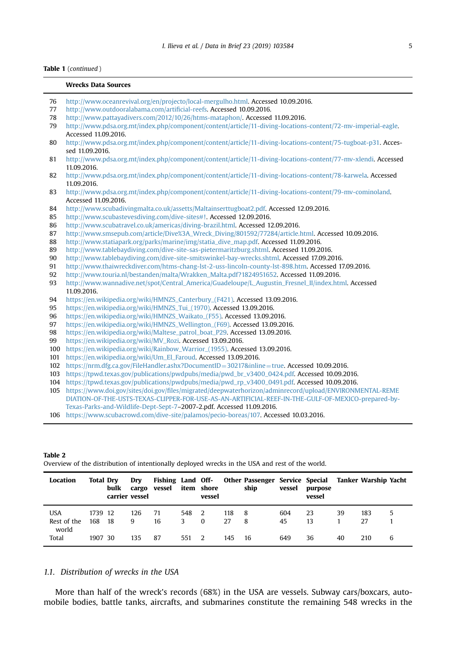## <span id="page-5-0"></span>Table 1 (continued )

# Wrecks Data Sources 76 <http://www.oceanrevival.org/en/projecto/local-mergulho.html>. Accessed 10.09.2016.

| 76  | .nttp://www.oceanrevivai.org/en/projecto/local-merguino.ntml. Accessed 10.09.2016                             |
|-----|---------------------------------------------------------------------------------------------------------------|
| 77  | http://www.outdooralabama.com/artificial-reefs. Accessed 10.09.2016.                                          |
| 78  | http://www.pattayadivers.com/2012/10/26/htms-mataphon/. Accessed 11.09.2016.                                  |
| 79  | http://www.pdsa.org.mt/index.php/component/content/article/11-diving-locations-content/72-mv-imperial-eagle.  |
|     | Accessed 11,09,2016.                                                                                          |
| 80  | http://www.pdsa.org.mt/index.php/component/content/article/11-diving-locations-content/75-tugboat-p31. Acces- |
|     | sed 11.09.2016.                                                                                               |
| 81  | http://www.pdsa.org.mt/index.php/component/content/article/11-diving-locations-content/77-mv-xlendi. Accessed |
|     | 11.09.2016.                                                                                                   |
| 82  | http://www.pdsa.org.mt/index.php/component/content/article/11-diving-locations-content/78-karwela. Accessed   |
|     | 11.09.2016.                                                                                                   |
|     |                                                                                                               |
| 83  | http://www.pdsa.org.mt/index.php/component/content/article/11-diving-locations-content/79-mv-cominoland.      |
|     | Accessed 11.09.2016.                                                                                          |
| 84  | http://www.scubadivingmalta.co.uk/assetts/Maltainserttugboat2.pdf. Accessed 12.09.2016.                       |
| 85  | http://www.scubastevesdiving.com/dive-sites#!. Accessed 12.09.2016.                                           |
| 86  | http://www.scubatravel.co.uk/americas/diving-brazil.html. Accessed 12.09.2016.                                |
| 87  | http://www.smsepub.com/article/Dive%3A_Wreck_Diving/801592/77284/article.html. Accessed 10.09.2016.           |
| 88  | http://www.statiapark.org/parks/marine/img/statia_dive_map.pdf. Accessed 11.09.2016.                          |
| 89  | http://www.tablebaydiving.com/dive-site-sas-pietermaritzburg.shtml. Accessed 11.09.2016.                      |
| 90  | http://www.tablebaydiving.com/dive-site-smitswinkel-bay-wrecks.shtml. Accessed 17.09.2016.                    |
| 91  | http://www.thaiwreckdiver.com/htms-chang-lst-2-uss-lincoln-county-lst-898.htm. Accessed 17.09.2016.           |
| 92  | http://www.touria.nl/bestanden/malta/Wrakken_Malta.pdf?1824951652. Accessed 11.09.2016.                       |
| 93  | http://www.wannadive.net/spot/Central_America/Guadeloupe/L_Augustin_Fresnel_II/index.html. Accessed           |
|     | 11.09.2016.                                                                                                   |
| 94  | https://en.wikipedia.org/wiki/HMNZS_Canterbury_(F421). Accessed 13.09.2016.                                   |
| 95  | https://en.wikipedia.org/wiki/HMNZS_Tui_(1970). Accessed 13.09.2016.                                          |
| 96  | https://en.wikipedia.org/wiki/HMNZS_Waikato_(F55). Accessed 13.09.2016.                                       |
| 97  | https://en.wikipedia.org/wiki/HMNZS_Wellington_(F69). Accessed 13.09.2016.                                    |
| 98  | https://en.wikipedia.org/wiki/Maltese_patrol_boat_P29. Accessed 13.09.2016.                                   |
| 99  |                                                                                                               |
|     | https://en.wikipedia.org/wiki/MV_Rozi. Accessed 13.09.2016.                                                   |
| 100 | https://en.wikipedia.org/wiki/Rainbow_Warrior_(1955). Accessed 13.09.2016.                                    |
| 101 | https://en.wikipedia.org/wiki/Um_El_Faroud. Accessed 13.09.2016.                                              |
| 102 | https://nrm.dfg.ca.gov/FileHandler.ashx?DocumentID=30217&inline=true. Accessed 10.09.2016.                    |
| 103 | https://tpwd.texas.gov/publications/pwdpubs/media/pwd_br_v3400_0424.pdf. Accessed 10.09.2016.                 |
| 104 | https://tpwd.texas.gov/publications/pwdpubs/media/pwd_rp_v3400_0491.pdf. Accessed 10.09.2016.                 |
| 105 | https://www.doi.gov/sites/doi.gov/files/migrated/deepwaterhorizon/adminrecord/upload/ENVIRONMENTAL-REME       |
|     | DIATION-OF-THE-USTS-TEXAS-CLIPPER-FOR-USE-AS-AN-ARTIFICIAL-REEF-IN-THE-GULF-OF-MEXICO-prepared-by-            |
|     | Texas-Parks-and-Wildlife-Dept-Sept-7-2007-2.pdf. Accessed 11.09.2016.                                         |
|     | 106 https://www.scubacrowd.com/dive-site/palamos/pecio-boreas/107. Accessed 10.03.2016.                       |
|     |                                                                                                               |

Overview of the distribution of intentionally deployed wrecks in the USA and rest of the world.

| Location             | <b>Total Drv</b> | bulk<br>carrier vessel | Drv  | cargo vessel item shore |       | vessel   |     | Fishing Land Off- Other Passenger Service Special Tanker Warship Yacht<br>ship | vessel | purpose<br>vessel |    |     |   |
|----------------------|------------------|------------------------|------|-------------------------|-------|----------|-----|--------------------------------------------------------------------------------|--------|-------------------|----|-----|---|
| <b>USA</b>           | 1739 12          |                        | 126  | 71                      | 548   | - 2      | 118 | - 8                                                                            | 604    | 23                | 39 | 183 | 5 |
| Rest of the<br>world | 168              | 18                     | 9    | 16                      | 3.    | $\Omega$ | 27  | 8                                                                              | 45     | 13                |    | 27  |   |
| Total                | 1907 30          |                        | 135. | 87                      | 551 2 |          | 145 | -16                                                                            | 649    | 36                | 40 | 210 | 6 |

# 1.1. Distribution of wrecks in the USA

More than half of the wreck's records (68%) in the USA are vessels. Subway cars/boxcars, automobile bodies, battle tanks, aircrafts, and submarines constitute the remaining 548 wrecks in the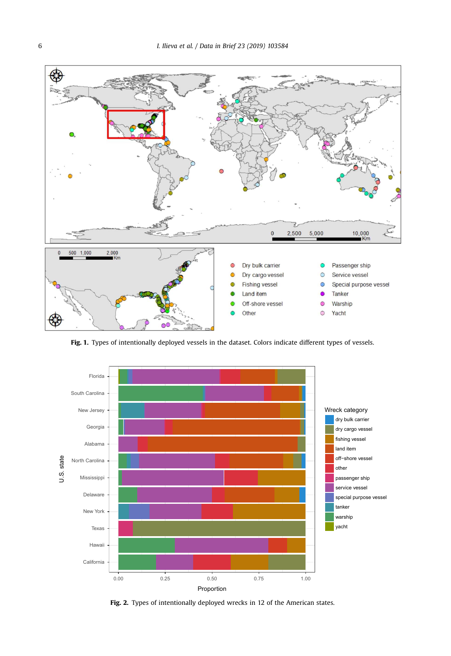<span id="page-6-0"></span>

Fig. 1. Types of intentionally deployed vessels in the dataset. Colors indicate different types of vessels.



Fig. 2. Types of intentionally deployed wrecks in 12 of the American states.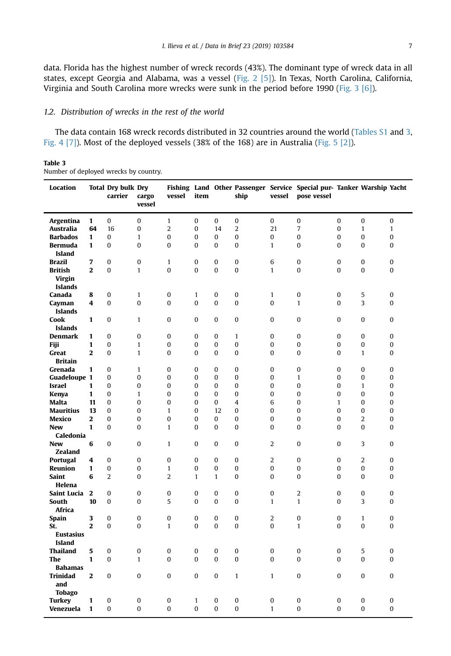data. Florida has the highest number of wreck records (43%). The dominant type of wreck data in all states, except Georgia and Alabama, was a vessel ([Fig. 2](#page-6-0) [\[5\]](#page-13-0)). In Texas, North Carolina, California, Virginia and South Carolina more wrecks were sunk in the period before 1990 [\(Fig. 3](#page-8-0) [\[6\]](#page-13-0)).

# 1.2. Distribution of wrecks in the rest of the world

The data contain 168 wreck records distributed in 32 countries around the world (Tables S1 and 3, [Fig. 4](#page-8-0) [\[7\]](#page-14-0)). Most of the deployed vessels (38% of the 168) are in Australia [\(Fig. 5](#page-9-0) [\[2\]\)](#page-13-0).

### Table 3 Number of deployed wrecks by country.

| Location             |                         | <b>Total Dry bulk Dry</b><br>carrier | cargo<br>vessel          | vessel         | item         |              | ship             | vessel         | Fishing Land Other Passenger Service Special pur- Tanker Warship Yacht<br>pose vessel |                  |                |              |
|----------------------|-------------------------|--------------------------------------|--------------------------|----------------|--------------|--------------|------------------|----------------|---------------------------------------------------------------------------------------|------------------|----------------|--------------|
| Argentina            | $\mathbf{1}$            | 0                                    | $\bf{0}$                 | $\mathbf{1}$   | $\bf{0}$     | 0            | $\boldsymbol{0}$ | 0              | 0                                                                                     | $\mathbf{0}$     | $\bf{0}$       | $\bf{0}$     |
| Australia            | 64                      | 16                                   | $\bf{0}$                 | $\overline{2}$ | 0            | 14           | $\overline{2}$   | 21             | 7                                                                                     | $\bf{0}$         | $\mathbf{1}$   | $\mathbf{1}$ |
| <b>Barbados</b>      | $\mathbf{1}$            | 0                                    | $\mathbf{1}$             | $\bf{0}$       | 0            | 0            | $\boldsymbol{0}$ | 0              | 0                                                                                     | 0                | 0              | 0            |
| Bermuda              | 1                       | 0                                    | $\bf{0}$                 | $\bf{0}$       | 0            | 0            | $\bf{0}$         | $\mathbf{1}$   | 0                                                                                     | 0                | 0              | $\bf{0}$     |
| Island               |                         |                                      |                          |                |              |              |                  |                |                                                                                       |                  |                |              |
| <b>Brazil</b>        | 7                       | 0                                    | 0                        | $\mathbf{1}$   | 0            | 0            | 0                | 6              | 0                                                                                     | $\bf{0}$         | 0              | 0            |
| <b>British</b>       | $\overline{2}$          | $\Omega$                             | $\mathbf{1}$             | $\theta$       | $\Omega$     | $\mathbf{0}$ | $\Omega$         | $\mathbf{1}$   | $\theta$                                                                              | $\theta$         | $\bf{0}$       | $\bf{0}$     |
| <b>Virgin</b>        |                         |                                      |                          |                |              |              |                  |                |                                                                                       |                  |                |              |
| <b>Islands</b>       |                         |                                      |                          |                |              |              |                  |                |                                                                                       |                  |                |              |
| Canada               | 8                       | 0                                    | $\mathbf{1}$             | 0              | $\mathbf{1}$ | $\bf{0}$     | $\boldsymbol{0}$ | $\mathbf{1}$   | 0                                                                                     | $\mathbf{0}$     | 5              | $\bf{0}$     |
| Cayman               | $\overline{\mathbf{4}}$ | $\Omega$                             | $\mathbf{0}$             | $\theta$       | $\mathbf 0$  | $\mathbf{0}$ | $\Omega$         | $\Omega$       | $\mathbf{1}$                                                                          | $\Omega$         | 3              | $\bf{0}$     |
| <b>Islands</b>       |                         |                                      |                          |                |              |              |                  |                |                                                                                       |                  |                |              |
| Cook                 | $\mathbf{1}$            | 0                                    | $\mathbf{1}$             | 0              | $\bf{0}$     | $\bf{0}$     | $\bf{0}$         | $\bf{0}$       | $\bf{0}$                                                                              | $\Omega$         | $\bf{0}$       | $\bf{0}$     |
| <b>Islands</b>       |                         |                                      |                          |                |              |              |                  |                |                                                                                       |                  |                |              |
| Denmark              | 1                       | 0                                    | 0                        | 0              | 0            | 0            | $\mathbf{1}$     | 0              | 0                                                                                     | 0                | 0              | 0            |
| Fiji                 | 1                       | 0                                    | $\mathbf{1}$             | 0              | 0            | 0            | 0                | 0              | 0                                                                                     | 0                | 0              | 0            |
| Great                | $\mathbf{2}$            | 0                                    | $\mathbf{1}$             | 0              | 0            | 0            | 0                | 0              | 0                                                                                     | 0                | $\mathbf{1}$   | 0            |
| <b>Britain</b>       |                         |                                      |                          |                |              |              |                  |                |                                                                                       |                  |                |              |
| Grenada              | $\mathbf{1}$            | 0<br>0                               | $\mathbf{1}$<br>$\bf{0}$ | 0<br>0         | 0<br>0       | 0<br>0       | 0<br>$\bf{0}$    | 0<br>0         | 0<br>$\mathbf{1}$                                                                     | 0<br>0           | 0<br>0         | 0<br>0       |
| Guadeloupe 1         | 1                       | 0                                    | $\bf{0}$                 | $\bf{0}$       | 0            | 0            | $\bf{0}$         | 0              | $\bf{0}$                                                                              | $\bf{0}$         | $\mathbf{1}$   | 0            |
| Israel<br>Kenya      | $\mathbf{1}$            | $\bf{0}$                             | $\mathbf{1}$             | $\bf{0}$       | 0            | 0            | $\bf{0}$         | 0              | 0                                                                                     | 0                | 0              | $\bf{0}$     |
| Malta                | 11                      | 0                                    | $\bf{0}$                 | $\bf{0}$       | 0            | 0            | $\overline{4}$   | 6              | 0                                                                                     | $\mathbf{1}$     | 0              | 0            |
| <b>Mauritius</b>     | 13                      | 0                                    | $\mathbf{0}$             | $\mathbf{1}$   | 0            | 12           | $\mathbf{0}$     | 0              | $\Omega$                                                                              | $\Omega$         | $\bf{0}$       | $\bf{0}$     |
| Mexico               | $\mathbf{2}$            | 0                                    | $\bf{0}$                 | $\bf{0}$       | 0            | 0            | $\mathbf{0}$     | $\bf{0}$       | $\bf{0}$                                                                              | $\mathbf{0}$     | $\overline{2}$ | $\bf{0}$     |
| <b>New</b>           | 1                       | 0                                    | $\bf{0}$                 | $\mathbf{1}$   | $\bf{0}$     | 0            | $\mathbf{0}$     | 0              | $\bf{0}$                                                                              | $\bf{0}$         | $\bf{0}$       | 0            |
| Caledonia            |                         |                                      |                          |                |              |              |                  |                |                                                                                       |                  |                |              |
| <b>New</b>           | 6                       | $\bf{0}$                             | $\bf{0}$                 | $\mathbf{1}$   | $\bf{0}$     | $\mathbf 0$  | $\mathbf{0}$     | 2              | $\mathbf{0}$                                                                          | $\mathbf{0}$     | 3              | $\bf{0}$     |
| Zealand              |                         |                                      |                          |                |              |              |                  |                |                                                                                       |                  |                |              |
| Portugal             | 4                       | 0                                    | $\bf{0}$                 | $\bf{0}$       | $\bf{0}$     | $\mathbf{0}$ | $\mathbf{0}$     | $\overline{2}$ | $\mathbf{0}$                                                                          | $\mathbf{0}$     | $\overline{2}$ | $\bf{0}$     |
| Reunion              | $\mathbf{1}$            | $\bf{0}$                             | $\bf{0}$                 | $\mathbf{1}$   | $\bf{0}$     | $\bf{0}$     | $\boldsymbol{0}$ | 0              | 0                                                                                     | $\boldsymbol{0}$ | $\bf{0}$       | $\bf{0}$     |
| <b>Saint</b>         | 6                       | 2                                    | 0                        | 2              | $\mathbf{1}$ | $\mathbf{1}$ | $\bf{0}$         | 0              | 0                                                                                     | $\mathbf{0}$     | 0              | 0            |
| Helena               |                         |                                      |                          |                |              |              |                  |                |                                                                                       |                  |                |              |
| Saint Lucia          | $\overline{2}$          | 0                                    | 0                        | 0              | 0            | 0            | 0                | 0              | $\overline{2}$                                                                        | $\bf{0}$         | 0              | 0            |
| South                | 10                      | 0                                    | $\bf{0}$                 | 5              | 0            | 0            | $\bf{0}$         | $\mathbf{1}$   | $\mathbf{1}$                                                                          | 0                | 3              | 0            |
| Africa               |                         |                                      |                          |                |              |              |                  |                |                                                                                       |                  |                |              |
| Spain                | 3                       | 0                                    | 0                        | 0              | 0            | 0            | 0                | 2              | 0                                                                                     | $\bf{0}$         | $\mathbf{1}$   | 0            |
| St.                  | $\mathbf{2}$            | 0                                    | $\bf{0}$                 | $\mathbf{1}$   | 0            | $\bf{0}$     | $\bf{0}$         | 0              | $\mathbf{1}$                                                                          | $\bf{0}$         | $\bf{0}$       | $\bf{0}$     |
| <b>Eustasius</b>     |                         |                                      |                          |                |              |              |                  |                |                                                                                       |                  |                |              |
| Island               |                         |                                      |                          |                |              |              |                  |                |                                                                                       |                  |                |              |
| <b>Thailand</b>      | 5                       | 0                                    | $\bf{0}$                 | $\bf{0}$       | $\bf{0}$     | $\bf{0}$     | $\boldsymbol{0}$ | $\bf{0}$       | 0                                                                                     | $\boldsymbol{0}$ | 5              | $\bf{0}$     |
| <b>The</b>           | 1                       | 0                                    | $\mathbf{1}$             | $\bf{0}$       | $\bf{0}$     | $\mathbf 0$  | $\bf{0}$         | 0              | $\bf{0}$                                                                              | $\bf{0}$         | $\bf{0}$       | $\bf{0}$     |
| <b>Bahamas</b>       |                         |                                      |                          |                |              |              |                  |                |                                                                                       |                  |                |              |
| <b>Trinidad</b>      | $\mathbf{2}$            | 0                                    | $\bf{0}$                 | $\bf{0}$       | $\bf{0}$     | $\bf{0}$     | $\mathbf{1}$     | $\mathbf{1}$   | $\bf{0}$                                                                              | $\bf{0}$         | $\bf{0}$       | $\bf{0}$     |
| and<br><b>Tobago</b> |                         |                                      |                          |                |              |              |                  |                |                                                                                       |                  |                |              |
| <b>Turkey</b>        | 1                       | 0                                    | $\mathbf{0}$             | 0              | $\mathbf{1}$ | $\mathbf 0$  | $\bf{0}$         | $\bf{0}$       | 0                                                                                     | $\mathbf{0}$     | $\bf{0}$       | 0            |
| Venezuela            | $\mathbf{1}$            | 0                                    | $\bf{0}$                 | $\theta$       | 0            | $\Omega$     | $\bf{0}$         | $\mathbf{1}$   | $\bf{0}$                                                                              | $\bf{0}$         | $\bf{0}$       | $\bf{0}$     |
|                      |                         |                                      |                          |                |              |              |                  |                |                                                                                       |                  |                |              |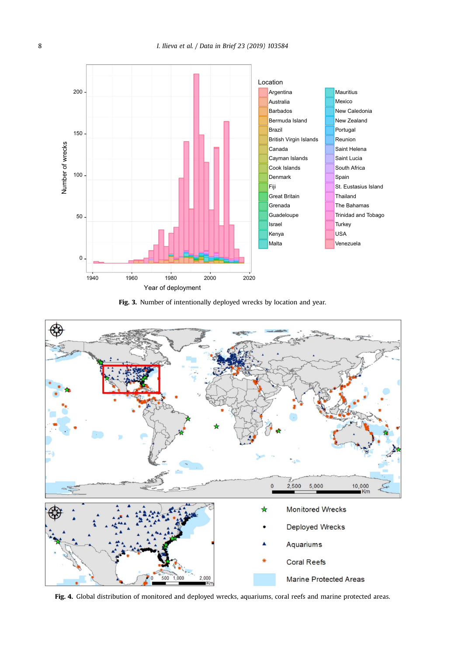<span id="page-8-0"></span>





Fig. 4. Global distribution of monitored and deployed wrecks, aquariums, coral reefs and marine protected areas.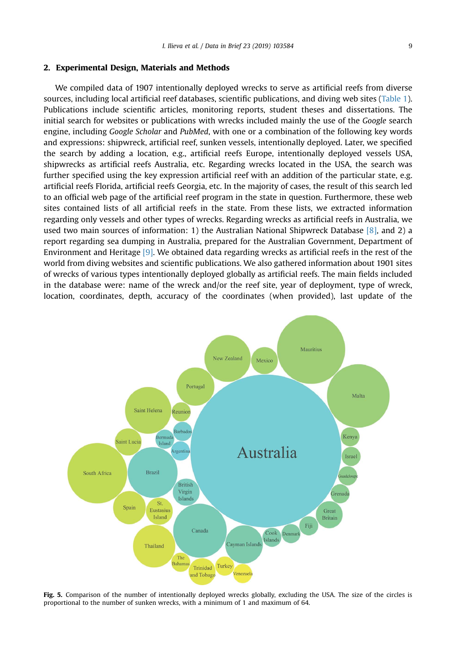### <span id="page-9-0"></span>2. Experimental Design, Materials and Methods

We compiled data of 1907 intentionally deployed wrecks to serve as artificial reefs from diverse sources, including local artificial reef databases, scientific publications, and diving web sites [\(Table 1\)](#page-3-0). Publications include scientific articles, monitoring reports, student theses and dissertations. The initial search for websites or publications with wrecks included mainly the use of the Google search engine, including Google Scholar and PubMed, with one or a combination of the following key words and expressions: shipwreck, artificial reef, sunken vessels, intentionally deployed. Later, we specified the search by adding a location, e.g., artificial reefs Europe, intentionally deployed vessels USA, shipwrecks as artificial reefs Australia, etc. Regarding wrecks located in the USA, the search was further specified using the key expression artificial reef with an addition of the particular state, e.g. artificial reefs Florida, artificial reefs Georgia, etc. In the majority of cases, the result of this search led to an official web page of the artificial reef program in the state in question. Furthermore, these web sites contained lists of all artificial reefs in the state. From these lists, we extracted information regarding only vessels and other types of wrecks. Regarding wrecks as artificial reefs in Australia, we used two main sources of information: 1) the Australian National Shipwreck Database [\[8\]](#page-14-0), and 2) a report regarding sea dumping in Australia, prepared for the Australian Government, Department of Environment and Heritage [\[9\].](#page-14-0) We obtained data regarding wrecks as artificial reefs in the rest of the world from diving websites and scientific publications. We also gathered information about 1901 sites of wrecks of various types intentionally deployed globally as artificial reefs. The main fields included in the database were: name of the wreck and/or the reef site, year of deployment, type of wreck, location, coordinates, depth, accuracy of the coordinates (when provided), last update of the



Fig. 5. Comparison of the number of intentionally deployed wrecks globally, excluding the USA. The size of the circles is proportional to the number of sunken wrecks, with a minimum of 1 and maximum of 64.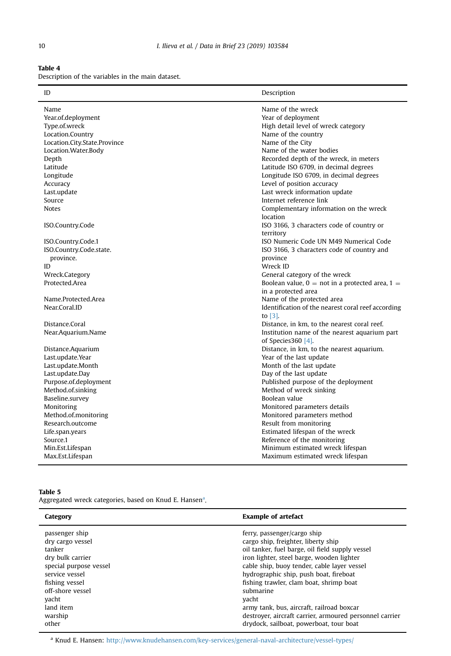<span id="page-10-0"></span>Table 4

Description of the variables in the main dataset.

| ID                           | Description                                                          |
|------------------------------|----------------------------------------------------------------------|
| Name                         | Name of the wreck                                                    |
| Year.of.deployment           | Year of deployment                                                   |
| Type.of.wreck                | High detail level of wreck category                                  |
| Location.Country             | Name of the country                                                  |
| Location.City.State.Province | Name of the City                                                     |
| Location.Water.Body          | Name of the water bodies                                             |
| Depth                        | Recorded depth of the wreck, in meters                               |
| Latitude                     | Latitude ISO 6709, in decimal degrees                                |
| Longitude                    | Longitude ISO 6709, in decimal degrees                               |
| Accuracy                     | Level of position accuracy                                           |
| Last.update                  | Last wreck information update                                        |
| Source                       | Internet reference link                                              |
| <b>Notes</b>                 | Complementary information on the wreck                               |
|                              | location                                                             |
| ISO.Country.Code             | ISO 3166, 3 characters code of country or                            |
|                              | territory                                                            |
| ISO.Country.Code.1           | ISO Numeric Code UN M49 Numerical Code                               |
| ISO.Country.Code.state.      | ISO 3166, 3 characters code of country and                           |
| province.                    | province                                                             |
| ID                           | Wreck ID                                                             |
| Wreck.Category               | General category of the wreck                                        |
| Protected.Area               | Boolean value, $0 =$ not in a protected area, $1 =$                  |
|                              | in a protected area                                                  |
| Name.Protected.Area          | Name of the protected area                                           |
| Near Coral ID                | Identification of the nearest coral reef according                   |
|                              | to $[3]$ .                                                           |
| Distance.Coral               | Distance, in km, to the nearest coral reef.                          |
| Near, Aquarium, Name         | Institution name of the nearest aquarium part<br>of Species 360 [4]. |
| Distance.Aquarium            | Distance, in km, to the nearest aquarium.                            |
| Last.update.Year             | Year of the last update                                              |
| Last.update.Month            | Month of the last update                                             |
| Last.update.Day              | Day of the last update                                               |
| Purpose.of.deployment        | Published purpose of the deployment                                  |
| Method.of.sinking            | Method of wreck sinking                                              |
| Baseline.survey              | Boolean value                                                        |
| Monitoring                   | Monitored parameters details                                         |
| Method.of.monitoring         | Monitored parameters method                                          |
| Research.outcome             | Result from monitoring                                               |
| Life.span.years              | Estimated lifespan of the wreck                                      |
| Source.1                     | Reference of the monitoring                                          |
| Min.Est.Lifespan             | Minimum estimated wreck lifespan                                     |
| Max.Est.Lifespan             | Maximum estimated wreck lifespan                                     |

# Table 5

Aggregated wreck categories, based on Knud E. Hansen<sup>a</sup>.

| Category               | <b>Example of artefact</b>                              |
|------------------------|---------------------------------------------------------|
| passenger ship         | ferry, passenger/cargo ship                             |
| dry cargo vessel       | cargo ship, freighter, liberty ship                     |
| tanker                 | oil tanker, fuel barge, oil field supply vessel         |
| dry bulk carrier       | iron lighter, steel barge, wooden lighter               |
| special purpose vessel | cable ship, buoy tender, cable layer vessel             |
| service vessel         | hydrographic ship, push boat, fireboat                  |
| fishing vessel         | fishing trawler, clam boat, shrimp boat                 |
| off-shore vessel       | submarine                                               |
| yacht                  | yacht                                                   |
| land item              | army tank, bus, aircraft, railroad boxcar               |
| warship                | destroyer, aircraft carrier, armoured personnel carrier |
| other                  | drydock, sailboat, powerboat, tour boat                 |

<sup>a</sup> Knud E. Hansen: <http://www.knudehansen.com/key-services/general-naval-architecture/vessel-types/>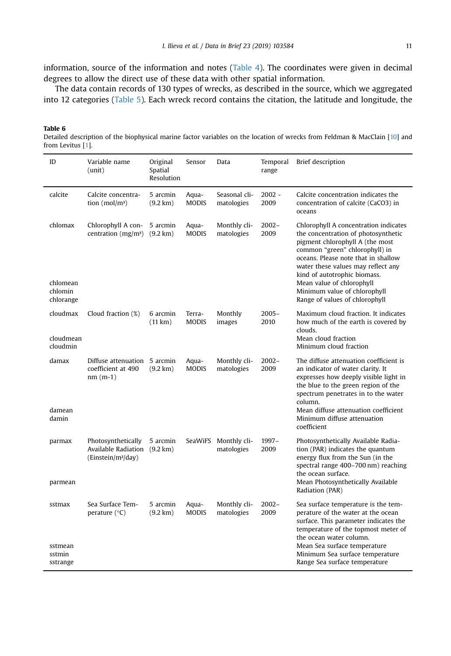<span id="page-11-0"></span>information, source of the information and notes ([Table 4](#page-10-0)). The coordinates were given in decimal degrees to allow the direct use of these data with other spatial information.

The data contain records of 130 types of wrecks, as described in the source, which we aggregated into 12 categories [\(Table 5](#page-10-0)). Each wreck record contains the citation, the latitude and longitude, the

| Table 6                                                                                                                    |  |
|----------------------------------------------------------------------------------------------------------------------------|--|
| Detailed description of the biophysical marine factor variables on the location of wrecks from Feldman & MacClain [10] and |  |
| from Levitus [1].                                                                                                          |  |

| ID                                          | Variable name<br>(unit)                                                              | Original<br>Spatial<br>Resolution | Sensor                 | Data                        | Temporal<br>range | Brief description                                                                                                                                                                                                                                                                                                                                             |
|---------------------------------------------|--------------------------------------------------------------------------------------|-----------------------------------|------------------------|-----------------------------|-------------------|---------------------------------------------------------------------------------------------------------------------------------------------------------------------------------------------------------------------------------------------------------------------------------------------------------------------------------------------------------------|
| calcite                                     | Calcite concentra-<br>tion (mol/m <sup>3</sup> )                                     | 5 arcmin<br>$(9.2 \text{ km})$    | Aqua-<br>MODIS         | Seasonal cli-<br>matologies | $2002 -$<br>2009  | Calcite concentration indicates the<br>concentration of calcite (CaCO3) in<br>oceans                                                                                                                                                                                                                                                                          |
| chlomax<br>chlomean<br>chlomin<br>chlorange | Chlorophyll A con-<br>centration $(mg/m3)$                                           | 5 arcmin<br>$(9.2 \text{ km})$    | Aqua-<br><b>MODIS</b>  | Monthly cli-<br>matologies  | $2002 -$<br>2009  | Chlorophyll A concentration indicates<br>the concentration of photosynthetic<br>pigment chlorophyll A (the most<br>common "green" chlorophyll) in<br>oceans. Please note that in shallow<br>water these values may reflect any<br>kind of autotrophic biomass.<br>Mean value of chlorophyll<br>Minimum value of chlorophyll<br>Range of values of chlorophyll |
| cloudmax<br>cloudmean<br>cloudmin           | Cloud fraction (%)                                                                   | 6 arcmin<br>(11 km)               | Terra-<br><b>MODIS</b> | Monthly<br>images           | $2005 -$<br>2010  | Maximum cloud fraction. It indicates<br>how much of the earth is covered by<br>clouds.<br>Mean cloud fraction<br>Minimum cloud fraction                                                                                                                                                                                                                       |
| damax<br>damean<br>damin                    | Diffuse attenuation 5 arcmin<br>coefficient at 490<br>$nm(m-1)$                      | $(9.2 \text{ km})$                | Aqua-<br><b>MODIS</b>  | Monthly cli-<br>matologies  | $2002 -$<br>2009  | The diffuse attenuation coefficient is<br>an indicator of water clarity. It<br>expresses how deeply visible light in<br>the blue to the green region of the<br>spectrum penetrates in to the water<br>column.<br>Mean diffuse attenuation coefficient<br>Minimum diffuse attenuation                                                                          |
| parmax<br>parmean                           | Photosynthetically<br>Available Radiation (9.2 km)<br>(Einstein/m <sup>2</sup> /day) | 5 arcmin                          | SeaWiFS                | Monthly cli-<br>matologies  | $1997 -$<br>2009  | coefficient<br>Photosynthetically Available Radia-<br>tion (PAR) indicates the quantum<br>energy flux from the Sun (in the<br>spectral range 400-700 nm) reaching<br>the ocean surface.<br>Mean Photosynthetically Available<br>Radiation (PAR)                                                                                                               |
| sstmax<br>sstmean<br>sstmin<br>sstrange     | Sea Surface Tem-<br>perature $(^{\circ}C)$                                           | 5 arcmin<br>(9.2 km)              | Aqua-<br>MODIS         | Monthly cli-<br>matologies  | $2002 -$<br>2009  | Sea surface temperature is the tem-<br>perature of the water at the ocean<br>surface. This parameter indicates the<br>temperature of the topmost meter of<br>the ocean water column.<br>Mean Sea surface temperature<br>Minimum Sea surface temperature<br>Range Sea surface temperature                                                                      |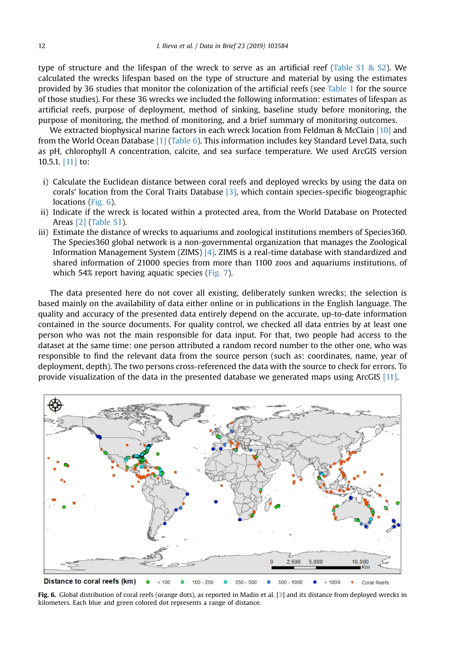type of structure and the lifespan of the wreck to serve as an artificial reef (Table  $\overline{51}$  &  $\overline{52}$ ). We calculated the wrecks lifespan based on the type of structure and material by using the estimates provided by 36 studies that monitor the colonization of the artificial reefs (see [Table 1](#page-3-0) for the source of those studies). For these 36 wrecks we included the following information: estimates of lifespan as artificial reefs, purpose of deployment, method of sinking, baseline study before monitoring, the purpose of monitoring, the method of monitoring, and a brief summary of monitoring outcomes.

We extracted biophysical marine factors in each wreck location from Feldman & McClain  $[10]$  and from the World Ocean Database [\[1\]](#page-13-0) ([Table 6\)](#page-11-0). This information includes key Standard Level Data, such as pH, chlorophyll A concentration, calcite, and sea surface temperature. We used ArcGIS version 10.5.1. [\[11\]](#page-14-0) to:

- i) Calculate the Euclidean distance between coral reefs and deployed wrecks by using the data on corals' location from the Coral Traits Database [\[3\]](#page-13-0), which contain species-specific biogeographic locations (Fig. 6).
- ii) Indicate if the wreck is located within a protected area, from the World Database on Protected Areas [\[2\]](#page-13-0) (Table S1).
- iii) Estimate the distance of wrecks to aquariums and zoological institutions members of Species360. The Species360 global network is a non-governmental organization that manages the Zoological Information Management System (ZIMS) [\[4\].](#page-13-0) ZIMS is a real-time database with standardized and shared information of 21000 species from more than 1100 zoos and aquariums institutions, of which 54% report having aquatic species [\(Fig. 7\)](#page-13-0).

The data presented here do not cover all existing, deliberately sunken wrecks; the selection is based mainly on the availability of data either online or in publications in the English language. The quality and accuracy of the presented data entirely depend on the accurate, up-to-date information contained in the source documents. For quality control, we checked all data entries by at least one person who was not the main responsible for data input. For that, two people had access to the dataset at the same time: one person attributed a random record number to the other one, who was responsible to find the relevant data from the source person (such as: coordinates, name, year of deployment, depth). The two persons cross-referenced the data with the source to check for errors. To provide visualization of the data in the presented database we generated maps using ArcGIS [\[11\].](#page-14-0)



Fig. 6. Global distribution of coral reefs (orange dots), as reported in Madin et al. [\[3](#page-13-0)] and its distance from deployed wrecks in kilometers. Each blue and green colored dot represents a range of distance.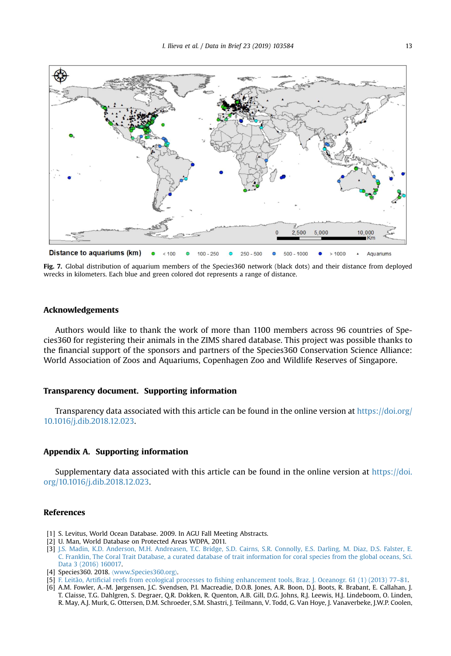<span id="page-13-0"></span>

Fig. 7. Global distribution of aquarium members of the Species360 network (black dots) and their distance from deployed wrecks in kilometers. Each blue and green colored dot represents a range of distance.

## Acknowledgements

Authors would like to thank the work of more than 1100 members across 96 countries of Species360 for registering their animals in the ZIMS shared database. This project was possible thanks to the financial support of the sponsors and partners of the Species360 Conservation Science Alliance: World Association of Zoos and Aquariums, Copenhagen Zoo and Wildlife Reserves of Singapore.

## Transparency document. Supporting information

Transparency data associated with this article can be found in the online version at [https://doi.org/](https://doi.org/10.1016/j.dib.2018.12.023) [10.1016/j.dib.2018.12.023](https://doi.org/10.1016/j.dib.2018.12.023).

# Appendix A. Supporting information

Supplementary data associated with this article can be found in the online version at [https://doi.](https://doi.org/10.1016/j.dib.2018.12.023) [org/10.1016/j.dib.2018.12.023.](https://doi.org/10.1016/j.dib.2018.12.023)

# References

- [1] S. Levitus, World Ocean Database. 2009. In AGU Fall Meeting Abstracts.
- [2] U. Man, World Database on Protected Areas WDPA, 2011.
- [3] [J.S. Madin, K.D. Anderson, M.H. Andreasen, T.C. Bridge, S.D. Cairns, S.R. Connolly, E.S. Darling, M. Diaz, D.S. Falster, E.](http://refhub.elsevier.com/S2352-3409(18)31562-2/sbref1) [C. Franklin, The Coral Trait Database, a curated database of trait information for coral species from the global oceans, Sci.](http://refhub.elsevier.com/S2352-3409(18)31562-2/sbref1) [Data 3 \(2016\) 160017.](http://refhub.elsevier.com/S2352-3409(18)31562-2/sbref1)
- [4] Species360. 2018. 〈[www.Species360.org](http://www.Species360.org)〉.
- [5] F. Leitão, Artificial reefs from ecological processes to fi[shing enhancement tools, Braz. J. Oceanogr. 61 \(1\) \(2013\) 77](http://refhub.elsevier.com/S2352-3409(18)31562-2/sbref2)–81.
- [6] A.M. Fowler, A.-M. Jørgensen, J.C. Svendsen, P.I. Macreadie, D.O.B. Jones, A.R. Boon, D.J. Boots, R. Brabant, E. Callahan, J. T. Claisse, T.G. Dahlgren, S. Degraer, Q.R. Dokken, R. Quenton, A.B. Gill, D.G. Johns, R.J. Leewis, H.J. Lindeboom, O. Linden, R. May, A.J. Murk, G. Ottersen, D.M. Schroeder, S.M. Shastri, J. Teilmann, V. Todd, G. Van Hoye, J. Vanaverbeke, J.W.P. Coolen,